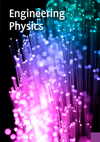# Engineering. Physics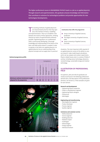The higher professional course in ENGINEERING PHYSICS leads to a job as an applied physicist. Through research and experimentation, this graduate amasses knowledge and information that contribute to solutions for technological problems and provide opportunities for new technological developments.

he working methods of applied physicists<br>are characterised by the fact that they oper<br>ate at the interface of theory, modelling<br>and experimentation. They try to establish a link he working methods of applied physicists are characterised by the fact that they operate at the interface of theory, modelling between the results of these approaches, verifying theories by means of experimentation wherever possible. Engineering physics as a professional field is continuously developing. A thorough knowledge and understanding of the theory of the basic sub-fields within physics is needed in order to operate in the field as an applied physicist. An applied physicist has an understanding of key physical concepts and can apply them in practical

#### **National programme profile**

|                                                                 | Competence |                 |             |            |        |             |            |                 |
|-----------------------------------------------------------------|------------|-----------------|-------------|------------|--------|-------------|------------|-----------------|
|                                                                 | Research   | Experimentation | Development | Management | Advice | Instruction | Leadership | Self-management |
| Minimum national attainment target<br>adopted for the programme | M          | m               | Ш           |            | Ш      |             |            | M               |



#### Institutions that offer the programme

- **E** Fontys University of Applied Sciences, Eindhoven
- The Hague University of Applied Sciences, Delft
- **Saxion University of Applied Sciences,** Enschede

situations. The most important skills required of an applied physicist consist of the ability to carry out research, make model-based calculations and to set up, prepare and conduct experiments. Physics-related issues arise in a variety of fields of activity, including sensor technology, photonics, nanotechnology, sustainable energy and medical technology.

#### **ILLUSTRATION OF PROFESSIONAL FIELD**

Occupations, jobs and roles for graduates are mostly to be found in the following professional domains (for a full description of the professional domains, see Section 2). A few examples are given for each domain.

#### **Research and development**

- Engineering Physics researcher
- Project or development engineer
- Engineering Physics designer
- Photonician
- Metrologist

#### **Engineering and manufacturing**

- Metrologist/test engineer
- Product developer
- Process engineer
- Quality engineer

#### **Commerce and customer service**

- Medical physicist
- Service engineer
- Building physicist
- Radiation expert
- Audiologist
- Meteorologist
- Energy engineer
- Adviser/consultant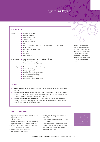## Engineering Physics

| <b>KNOWLEDGE</b>   |                                                                                                                                                                                                                                                                                                                                                                                                  |
|--------------------|--------------------------------------------------------------------------------------------------------------------------------------------------------------------------------------------------------------------------------------------------------------------------------------------------------------------------------------------------------------------------------------------------|
| Physics            | Classical mechanics<br><b>COL</b><br>Electromagnetism<br><b>COL</b><br><b>Ouantum mechanics</b><br>m.<br>Thermodynamics<br><b>COL</b><br>Waves and vibration<br>Optics<br><b>The State</b><br>Properties of matter: elementary components and their interactions<br>Atomic physics<br>Nuclear and particle physics<br>Acoustics<br><b>COL</b><br>Materials<br><b>COL</b><br>Fluid dynamics<br>m. |
| <b>Mathematics</b> | Calculus: elementary analysis and (linear) algebra<br>ш<br>Laplace and Fourier transforms<br><b>The State</b><br>Statistics and probability theory<br><b>COL</b>                                                                                                                                                                                                                                 |
| Engineering        | Measurement and control technology<br>Vacuum technology<br>Energy engineering<br>Electronics and signal processing<br>Micro- and nanotechnology<br>Laser technology                                                                                                                                                                                                                              |

: Programming and data acquisition

#### **SKILLS**

- **Ceneral skills:** communication and collaboration, project-based work, systematic approach to problems
- Skills relevant to the experimental approach: building and managing test rigs and measurement systems, performing data acquisition for measurement system, programming, software including Labview, Excel, Matlab, programming languages
- **E** Skills relevant to the model-based approach: using calculation and simulation software, designing a calculation or simulation program, programming, software including Matlab/ Simulink, Maple, Comsol Multiphysics, Ansys

#### **TYPICAL TEXTBOOKS**

- *Physics for Scientists and Engineers with Modern Physic,* D.C. Giancoli
- *Optics,* E. Hecht
- *Warmteleer voor technici,* A.J.M. van Kimmenaede
- *Regeltechniek voor HTO,* J. Schrage, H. van Daal – *Applied Statistics and Probability for Engineers,*
- D. C. Montgomery, G.C. Runger
- *Polymeren, van keten tot kunststof,*  A.K. van der Vegt, L.E. Govaert
- *Multiphysics Modeling Using COMSOL 4,*  R.W. Pryor
- *OPTO-electronics: An introduction,* J. Wilson, J.F.B. Hawkes
- *Introductory Digital Signal Processing with Computer Applications,* P.A. Lynn, W. Fuerst
- *Fundamentals of Thermal Fluid Sciences,*  Y.A. Cengel, R.H. Turner e.a.

The list of typical textbooks serves as an illustration to give an impression of the level at which the subject is taught in the study programme.

The Body of Knowledge and Skills is a summary of graduates' basic knowledge and basic skills which has been prepared by the HBO-programmes in consultation with the professional field. These are obtained during the first two years of education.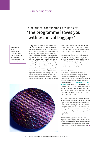## Engineering Physics

# Operational coordinator Hans Beckers: 'The programme leaves you with technical baggage'

Name: Hans Beckers Age: 41 Course of study: Engineering Physics Place of employment: ASML Veldhoven Job: Operational coordinator First Line Support NXE

'With my pre-university diploma, I initially decided to study Engineering Physics at Eindhoven University of Technology. I had a wide range of subjects, the exact sciences suited me and I thought it would be good to focus on complex issues. Thinking out of the box – that appealed to me. However, after nine months I realised that too little time was devoted to practical work, commonor-garden physics. I then switched to the higher professional course in Engineering Physics and this seemed to fit in much better with my need for everyday physics. The application of technology in the world of medicine came up during the programme. That appealed to me, so I did an internship at Verbeeten Institute in Tilburg, a specialist hospital which provides top clinical care in the area of oncology and nuclear medicine. Choosing a specialisation wasn't difficult: Engineering Physics.

I found my graduation project through my own network at Phillips, where I worked on "modelling for optical grooves". My work has contributed to the fact that the DVD is as we know it today.

At AMSL we manufacture precision lithographic machines for the chip industry. In my current job, I am responsible for managing all failures in part of the production process of ASML's most advanced machines. I make sure that the problems are solved to the internal or external customer's satisfaction within the applicable time.

#### **Commercial thinking**

After spending a few years in "technology", I am now more involved in guiding/coaching people, skills which I picked up through additional training. Another part of my job is to set up and standardise processes. This requires a more project-based approach. Coordination | coaching | supervision are things that I still use every day. At university, I feel, not enough attention was paid to working and thinking in a commercial way. You can come up with the most fantastic experiments or research, but they have to fit in with the customer's time and cost frame.

The Engineering Physics course leaves you with a certain technical baggage, and from these foundations you start to specialise in specific subjects in industry. These are almost impossible to teach in the programme as it would be too specific. Structural thinking, analysing data and transferring knowledge are things to which attention was paid in the programme and which are useful in every organisation.

There are a lot of opportunities at ASML, it's a large and diverse company. In the near future, the focus of my job will be shifting further towards the project-based delivery of processes, but my ambition still lies in the area of people management.'

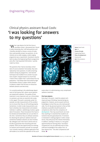### Engineering Physics

# Clinical physics assistant Ruud Cools: 'I was looking for answers to my questions'

 $\mathcal{M}$  hen I got physics for the first time at secondary school, I discovered that I found it really interesting. But I still had questions and I therefore decided to choose a course of study that could possibly answer my questions. As my interests are so wide-ranging, a wide-ranging programme was a requirement. My physics teacher told me about the Engineering Physics programme and, after I had requested information, I quickly made my choice.

The questions that I had at secondary school were of course answered. Fortunately, they were replaced by more questions. As well as learning answers during my programme, I also learned techniques that enabled me to answer my questions myself. I enjoyed research so much that I tried to find a subject that I could research for my graduation. I had always been fascinated by light and therefore choose a subject within photonics (physics subject that focuses on interaction between photons and electrons).

I'm currently working in the radiotherapy department of the Erasmus MC, where cancer patients are treated with radiation. The quality of their treatment is very important and, as a clinical physics assistant, you have an essential role to play in this regard. The work is extremely varied. For example, we take measurements of the accelerators to ensure that they are still working properly. Sometimes, in order to take measurements, you have to develop new measurement and analysis methods. In addition, radiotherapy involves a great deal of innovation. These innovations first have to be checked and tested before we can use them in the clinic. Sometimes they are software solutions for obtaining the optimum radiation level and sometimes hardware solutions are also involved. My colleagues and I then have to devise tests to be able to guarantee that everything will work properly. There are also opportunities for working on research and innovation yourself. For example, I am currently creating a software application that will enable us to control the operation of the accel-



erator when it is administering a very complicated radiation treatment.

#### **First learn physics**

Every day in my work, I need the analysis technique and way of thinking I learned during my programme. However, you do acquire technical knowledge at school that you only need sporadically, if at all. My personal opinion is that as little emphasis as possible should be placed on competences other than the competence of development. That may sound harsh, but more than anything it is essential that students are trained to become good physicists. If someone is interested in making progress in other competences, they will pursue this interest themselves. In addition, working in industry is a very good apprenticeship for learning these "secondary" competencies, but you definitely have to have sufficient knowledge of the subject first. So learn physics first – the other competences will  $follow: \blacksquare$ 

Name: Ruud Cools Age: 26 Course of study: Engineering Physics Place of employment: Erasmus MC Job: Clinical physics assistant